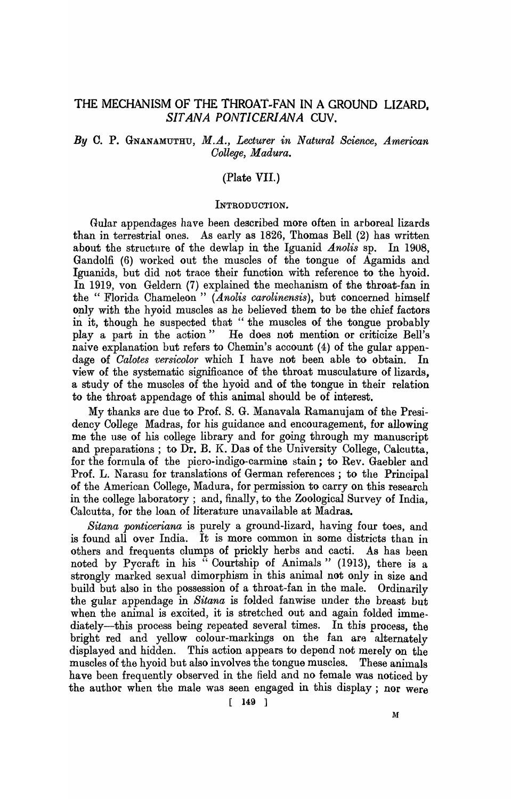# THE MECHANISM OF THE THROAT-FAN IN A GROUND LIZARD. *SIT ANA PONTICERlANA* CUV.

## By C. P. GNANAMUTHU, M.A., *Lecturer in Natural Science, American Oollege, Madura.*

## (Plate VII.)

#### INTRODUCTION.

Gular appendages haye been described more often in arboreal lizards than in terrestrial ones. As early as 1826, Thomas Bell (2) has written about the structure of the dewlap in the Iguanid *Anolis* sp. In 1908, Gandolfi (6) worked out the muscles of the tongue of Agamids and 19uanids, but did not trace their function with reference to the hyoid. In 1919, von Geldern (7) explained the mechanism of the throat-fan in the " Florida Chameleon" *(Anolis carolinensis)*, but concerned himself only with the hyoid muscles as he believed them to be the chief factors in it, though he suspected that "the muscles of the tongue probably playa part in the action" He does not mention or criticize Bell's naive explanation but refers to Ohemin's account (4) of the gular appendage of *Calotes versicolor* which I have not been able to obtain. In view of the systematic significance of the throat musculature of lizards, a study of the muscles of the hyoid and of the tongue in their relation to the throat appendage of this animal should be of interest.

My thanks are due to Pro£. S. G. Manavala Ramanujam of the Presidency College Madras, for his guidance and encouragement, for allowing me the use of his college library and for going through my manuscript and preparations; to Dr. B. K. Das of the University College, Calcutta, for the formula of the picro-indigo-carmine stain; to Rev. Gaebler and Prof. L. Narasu for translations of German references; to the Principal of the American College, Madura, for permission to carryon this research in the college laboratory; and, finally, to the Zoological Survey of India, Calcutta, for the loan of literature unavailable at Madras.

*Sitana ponticeriana* is purely a ground-lizard, having four toes, and is found all over India. It is more common in some districts than in others and frequents clumps of prickly herbs and cacti. As has been noted by Pycraft in his "Courtship of Animals" (1913), there is a strongly marked sexual dimorphism in this animal not only in size and build but also in the possession of a throat-fan in the male. Ordinarily the gular appendage in *Sitana* is folded fanwise under the breast but when the animal is excited, it is stretched out and again folded immediately—this process being repeated several times. In this process, the bright red and yellow colour-markings on the fan are alternately displayed and hidden. This action appears to depend not merely on the muscles of the hyoid but also involves the tongue muscles. These animals have been frequently observed in the field and no female was noticed by the author when the male was seen engaged in this display; nor were

[ 149 ]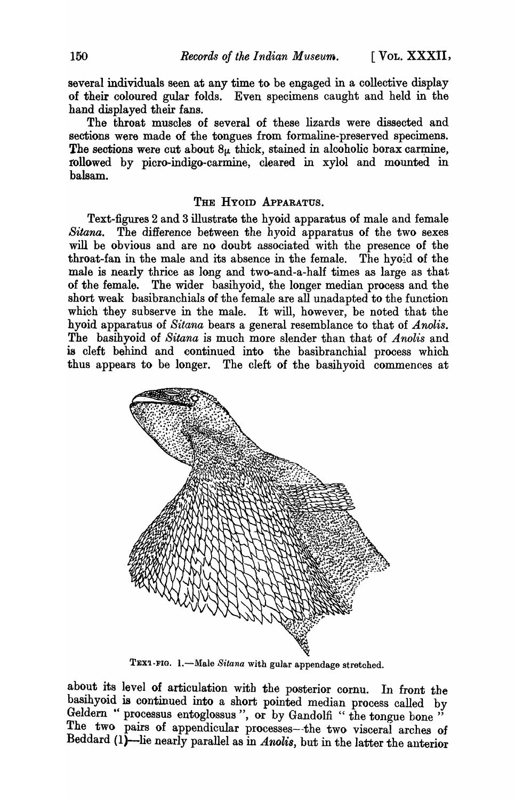several individuals seen at any time to be engaged in a collective display of their coloured gular folds. Even specimens caught and held in the hand displayed their fans.

The throat muscles of several of these lizards were dissected and sections were made of the tongues from formaline-preserved specimens. The sections were cut about  $8\mu$  thick, stained in alcoholic borax carmine, rollowed by picro-indigo-carmine, cleared in xylol and mounted in balsam.

## THE HYOID APPARATUS.

Text-figures 2 and 3 illustrate the hyoid apparatus of male and female *Sitana.* The difference between the hyoid apparatus of the two sexes will be obvious and are no doubt associated with the presence of the throat-fan in the male and its absence in the female. The hyoid of the male is nearly thrice as long and two-and-a-half times as large as that of the female. The wider basihyoid, the longer median process and the short weak basibranchials of the female are all unadapted to the function which they subserve in the male. It will, however, be noted that the hyoid apparatus of *Sitana* bears a general resemblance to that of *Anolis.*  The basihyoid of *Sitana* is much more slender than that of *Anolis* and is cleft behind and continued into the basibranchial process which thus appears to be longer. The cleft of the basihyoid commences at



TEX1-FIG. 1.-Male Sitana with gular appendage stretched.

about its level of articulation with the posterior cornu. In front the basihyoid is continued into a short pointed median process called by Geldern " processus entoglossus", or by Gandolfi "the tongue bone" The two pairs of appendicular processes--the two visceral arches of Beddard (I)-lie nearly parallel as in *Anolis,* but in the latter the anterior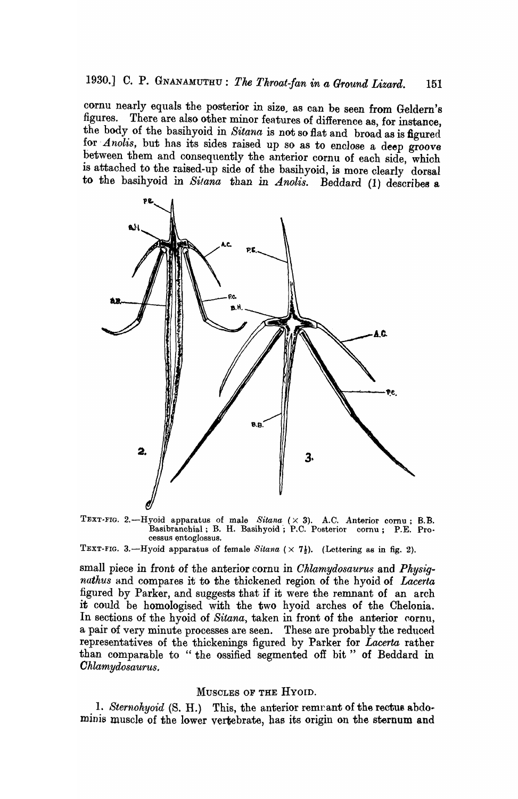cornu nearly equals the posterior in size, as can be seen from Geldern's<br>figures. There are also other minor features of difference as for inctance There are also other minor features of difference as, for instance, the body of the basihyoid in *Sitana* is not so flat and broad as is figured for *Anolis*, but has its sides raised up so as to enclose a deep groove between them and consequently the anterior cornu of each side, which is attached to the raised-up side of the basihyoid, is more clearly dorsal to the basihyoid in *Sitana* than *in Anolis.* Beddard (1) describes a



TEXT-FIG. 2.-Hyoid apparatus of male *Sitana* ( $\times$  3). A.C. Anterior cornu; B.B. Basibranchial; B. H. Basihyoid; P.C. Posterior cornu; P.E. Processus entogIossus.

TEXT-FIG. 3.—Hyoid apparatus of female *Sitana*  $(\times 7\frac{1}{2})$ . (Lettering as in fig. 2).

small piece in front of the anterior cornu in *Cklamydosaurus* and *Pkysignathus* and compares it to the thickened region of the hyoid of *Lacerta*  figured by Parker, and suggests that if it were the remnant of an arch it could be homologised with the two hyoid arches of the Chelonia. In sections of the hyoid of *Sitana*, taken in front of the anterior cornu, a pair of very minute processes are seen. These are probably the reduced representatives of the thickenings figured by Parker for *Lacerta* rather than comparable to "the ossified segmented off bit" of Beddard in *Ohlamydosaurus.* 

### MUSCLES OF THE HYOID.

1. *Sternohyoid* (S. H.) This, the anterior remnant of the rectus abdominis muscle of the lower vertebrate, has its origin on the sternum and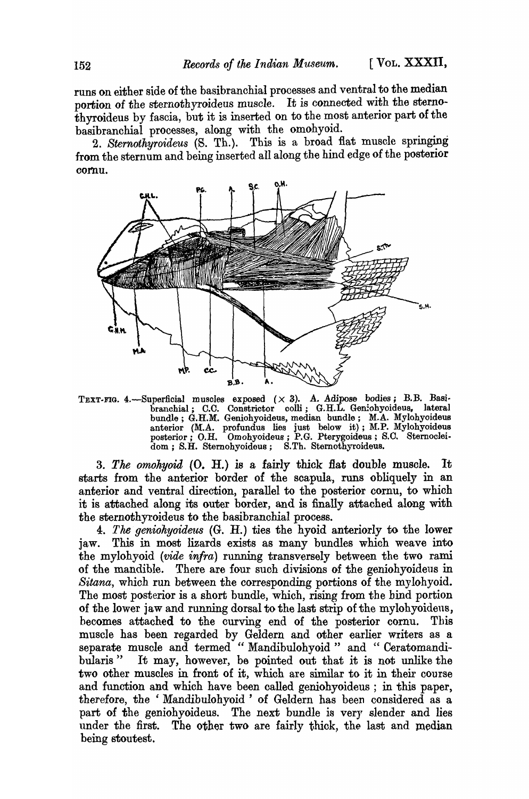runs on either side of the basibranchial processes and ventral to the median portion of the sternothyroideus muscle. It is connected with the sternothyroideus by fascia, but it is inserted on to the most anterior part of the basibranchial processes, along with the omohyoid.

2. *Sternothyroideus* (S. Th.). This is a broad flat muscle springing from the sternum and being inserted all along the hind edge of the posterior cornu.



TEXT-FIG. 4.--Superficial muscles exposed  $(\times$  3). A. Adipose bodies; B.B. Basibranchial; C.C. Constrictor colli; G.H.L. Geniohyoideus, lateral bundle; G.H.M. Geniohyoideus, median bundle; M.A. Mylohyoideus anterior (M.A. profundus lies just below it); M.P. Mylohyoideus posterior; *O.H.* Omohyoideus; P.G. Pterygoideus; *S.O.* Sternocleidom; S.H. Sternohyoideus; S.Th. Stemothyroideus.

*3. The omohyoid* (0. *H.)* is a fairly thick Hat double muscle. It starts from the anterior border of the scapula, runs obliquely in an anterior and ventral direction, parallel to the posterior cornu, to which it is attached along its outer border, and is finally attached along with the sternothyroideus to the basibranchial process.

*4. The geniohyoide1ts* (G. *H.)* ties the hyoid anteriorly to the lower jaw. This in most lizards exists as many bundles which weave into the mylohyoid *(vide infra)* running transversely between the two rami of the mandible. There are four such divisions of the geniohyoideus in *Sitana,* which run between the corresponding portions of the mylohyoid. The most posterior is a short bundle, which, rising from the bind portion of the lower jaw and running dorsal to the last strip of the mylohyoideus, becomes attached to the curving end of the posterior cornu. Tbis muscle has been regarded by Geldern and other earlier writers as a separate muscle and termed "Mandibulohyoid" and "Ceratomandibularis" It may, however, be pointed out that it is not unlike the two other muscles in front of it, which are similar to it in their course and function and which have been called geniohyoideus; in this paper, therefore, the 'MandibuIohyoid ' of Geldern has been considered as a part of the geniohyoideus. The next bundle is very slender and lies under the first. The other two are fairly thick, the last and median being stoutest.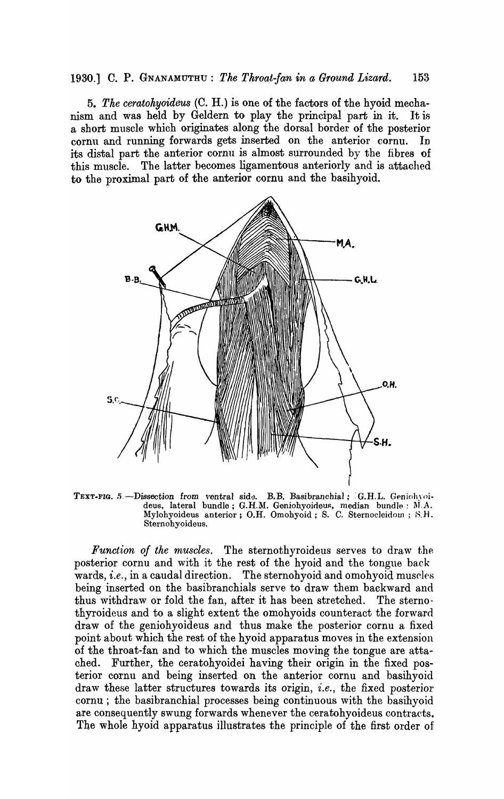*5. The ceratohyoideus* (C. H.) is one of the factors of the hyoid mechanism and was held by Geldern to play the principal part in it. It is a short muscle which originates along the dorsal border of the posterior cornu and running forwards gets inserted on the anterior cornu. In its distal part the anterior cornu is almost surrounded by the fibres of this muscle. The latter becomes ligamentous anteriorly and is attached to the proximal part of the anterior cornu and the basihyoid.



TEXT-FIG. 5.-Dissection from ventral side. B.B. Basibranchial; G.H.L. Geniohyoideus, lateral bundle; G.H.M. Geniohyoideus, median bundle: M.A. Mylohyoideus anterior; O.H. Omohyoid; S. C. Sternocleidom; S.H. Sternohyoideus.

*Function of the muscles.* The sternothyroideus serves to draw the posterior cornu and with it the rest of the hyoid and the tongue back wards, *i.e.*, in a caudal direction. The sternohyoid and omohyoid muscles being inserted on the basibranchials serve to draw them backward and thus withdraw or fold the fan, after it has been stretched. The sternothyroideus and to a slight extent the omohyoids counteract the forward draw of the geniohyoideus and thus make the posterior cornu a fixed point about which the rest of the hyoid apparatus moves in the extension of the throat-fan and to which the muscles moving the tongue are attached. Further, the ceratohyoidei having their origin in the fixed posterior cornu and being inserted on the anterior cornu and basihyoid draw these latter structures towards its origin, *i.e.,* the fixed posterior cornu; the basibranchial processes being continuous with the basihyoid are consequently swung forwards whenever the ceratohyoideus contracts. The whole hyoid apparatus illustrates the principle of the first order of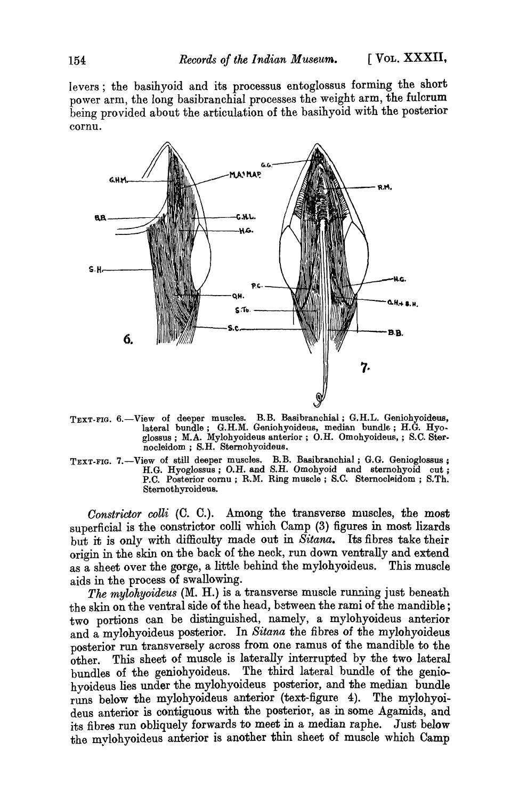levers; the basihyoid and its processus entoglossus forming the short power arm, the long basibranchial processes the weight arm, the fulcrum being provided about the articulation of the basihyoid with the posterior cornu.



- TEXT-FIG. 6.-View of deeper muscles. B.B. Basibranchial; G.H.L. Geniohyoideus, lateral bundle; G.H.M. Geniohyoideus, median bundle; H.G. Hyoglossus; M.A. Mylohyoideus anterior; O.H. Omohyoideus,; S.C. Sternocleidom; S.H. Sternohyoideus.
- TEXT-FIG. 7.—View of still deeper muscles. B.B. Basibranchial; G.G. Genioglossus; H.G. Hyoglossus; O.H. and S.H. Omohyoid and sternohyoid cut; P.C. Posterior cornu; R.M. Ring muscle; S.C. Sternocleidom; S.Th. Sternothyroideus.

Constrictor colli (C. C.). Among the transverse muscles, the most superficial is the constrictor colli which Camp (3) figures in most lizards but it is only with diffioulty made out in *Sitana.* Its fibres take their origin in the skin on the back of the neck, run down ventrally and extend as a sheet over the gorge, a little behind the mylohyoideus. This muscle aids in the process of swallowing.

*The mylohyoideus* (M. H.) is a transverse muscle running just beneath the skin on the ventral side of the head, between the rami of the mandible; two portions can be distinguished, namely, a mylohyoideus anterior and a mylohyoideus posterior. In *Sitana* the fibres of the mylohyoideus posterior run transversely across from one ramus of the mandible to the other. This sheet of muscle is laterally interrupted by the two lateral bundles of the geniobyoideus. The third lateral bundle of the genio-The third lateral bundle of the geniohyoideus lies under the mylohyoideus posterior, and the median bundle runs below the mylohyoideus anterior (text-figure 4). The mylohyoideus anterior is contiguous with the posterior, as in some Agamids, and its fibres run obliquely forwards to meet in a median raphe. Just below the mylohyoideus anterior is another thin sheet of muscle which Camp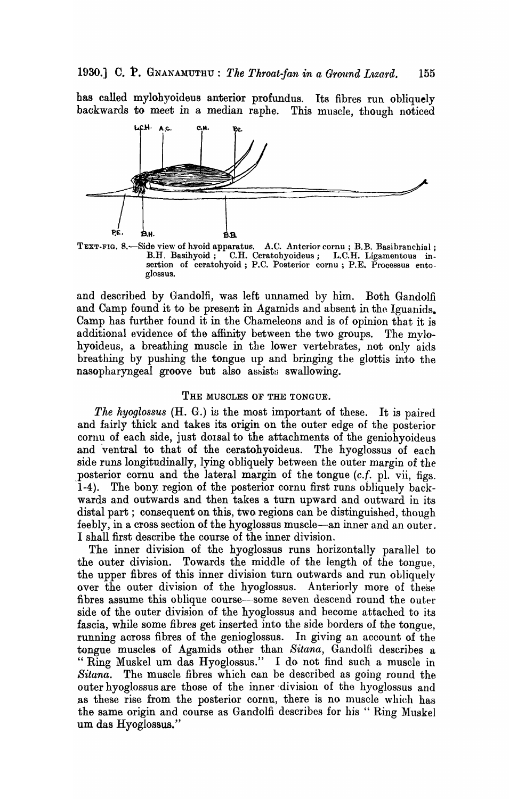has called mylohyoideus anterior profundus. Its fibres run. obliquely backwards to meet in a median raphe. This muscle, though noticed



TEXT-FIG. 8.-Side view of hyoid apparatus. A.C. Anterior cornu; B.B. Basibranchial; B.H. Basihyoid; C.H. Ceratohyoideus; L.C.H. Ligamentous insertion of ceratohyoid; P.C. Posterior cornu; P.E. Processus entogIossus.

and described by Gandolfi, was left unnamed by him. Both Gandolfi and Camp found it to be present in Agamids and absent in the Iguanids. Camp has further found it in the Chameleons and is of opinion that it is additional evidence of the affinity between the two groups. The mylohyoideus, a breathing muscle in the lower vertebrates, not only aids breathing by pushing the tongue up and bringing the glottis into the nasopharyngeal groove but also assists swallowing.

### THE MUSCLES OF THE TONGUE.

*The hyoglossus* (H. G.) is the most important of these. It is paired and fairly thick and takes its origin on the outer edge of the posterior cornu of each side, just doisal to the attachments of the geniohyoideus and 'ventral to that of the ceratohyoideus. The hyoglossus of each side runs longitudinally, lying obliquely between the outer margin of the posterior cornu and the lateral margin of the tongue *(c.f. pl. vii, figs.* 1-4). The bony region of the posterior cornu first runs obliquely backwards and outwards and then takes a turn upward and outward in its distal part; consequent on this, two regions can be distinguished, though feebly, in a cross section of the hyoglossus muscle-an inner and an outer. I shall first describe the course of the inner division.

The inner division of the hyoglossus runs horizontally parallel to the outer division. Towards the middle of the length of the tongue, the upper fibres of this inner division turn outwards and run obliquely over the outer division of the hyoglossus. Anteriorly more of these fibres assume this oblique course-some seven descend round the outer side of the outer division of the hyoglossus and become attached to its fascia, while some fibres get inserted into the side borders of the tongue, running across fibres of the genioglossus. In giving an account of the tongue muscles of Agamids other than *Sitana,* Gandolfi describes a " Ring Muskel um das Hyoglossus." I do not find such a muscle in *Sitana.* The muscle fibres which can be described as going round the outer hyoglossus are those of the inner division of the hyoglossus and as these rise from the posterior cornu, there is no muscle which has the same origin and course as Gandolfi describes for his "Ring Muskel um das Hyoglossus."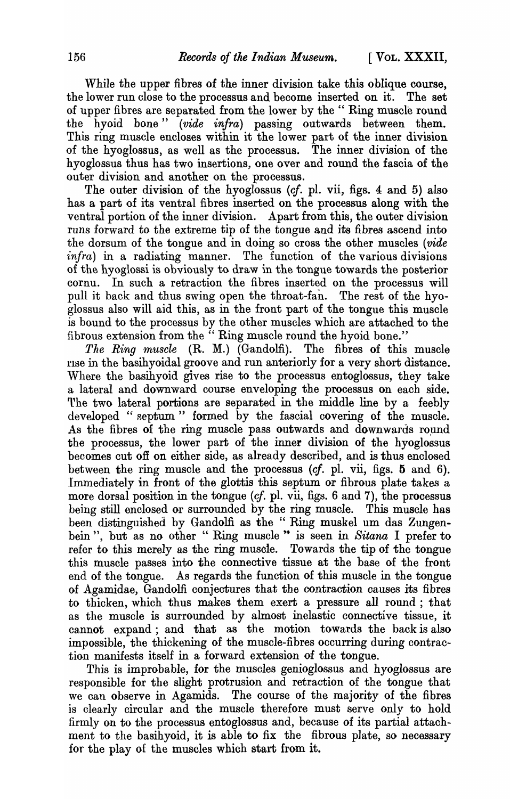While the upper fibres of the inner division take this oblique course, the lower run close to the processus and become inserted on it. The set of upper fibres are separated from the lower by the "Ring muscle round the hyoid bone" *(vide infra)* passing outwards between them. This ring muscle encloses within it the lower part of the inner division of the hyoglossus, as well as the processus. The inner division of the hyoglossus thus has two insertions, one over and round the fascia of the outer division and another on the processus.

The outer division of the hyoglossus (cf. pl. vii, figs. 4 and 5) also. has a part of its ventral fibres inserted on the processus along with the ventral portion of the inner division. Apart from this, the outer division runs forward to the extreme tip of the tongue and its fibres ascend into. the dorsum of the tongue and in doing so cross the other muscles *(vide*) *infra*) in a radiating manner. The function of the various divisions of the hyoglossi is obviously to draw in the tongue towards the posterior cornu. In such a retraction the fibres inserted on the processus will pull it back and thus swing open the throat-fan. The rest of the hyoglossus also will aid this, as in the front part of the tongue this muscle is bound to the processus by the other muscles which are attached to the fibrous extension from the " Ring muscle round the hyoid bone."

*The Ring muscle* (R. M.) (Gandolfi). The fibres of this muscle rise in the basihyoidal groove and run anteriorly for a very short distance. Where the basihyoid gives rise to the processus entoglossus, they take a lateral and downward course enveloping the processus on each side. The two lateral portions are separated in the middle line by a feebly developed "septum" formed by the fascial covering of the muscle. As the fibres of the ring muscle pass outwards and downwards round the processus, the lower part of the inner division of the hyoglossus becomes cut off on either side, as already described, and is thus enclosed between the ring muscle and the processus (cf. pl. vii, figs. 5 and 6). Immediately in front of the glottis this septum or fibrous plate takes a more dorsal position in the tongue (cf. pl. vii, figs. 6 and 7), the processus being still enclosed or surrounded by the ring muscle. This muscle has been distinguished by Gandolfi as the "Ring muskel um das Zungenbein", but as no other " Ring muscle " is seen in *Sitana* I prefer to refer to this merely as the ring muscle. Towards the tip of the tongue this muscle passes into the connective tissue at the base of the front end of the tongue. As regards the function of this muscle in the tongue of Agamidae, Gandolfi conjectures that the contraction causes its fibres to thicken, which thus makes them exert a pressure all round; that as the muscle is surrounded by almost inelastic connective tissue, it cannot expand; and that as the motion towards the back is also impossible, the thickening of the muscle-fibres occurring during contraction manifests itself in a forward extension of the tongue.

This is improbable, for the muscles genioglossus and hyoglossus are responsible for the slight protrusion and retraction of the tongue that we can observe in Agamids. The course of the majority of the fibres is clearly circular and the muscle therefore must serve only to hold firmly on to the processus entoglossus and, because of its partial attachment to the basihyoid, it is able to fix the fibrous plate, so necessary for the play of the muscles which start from it.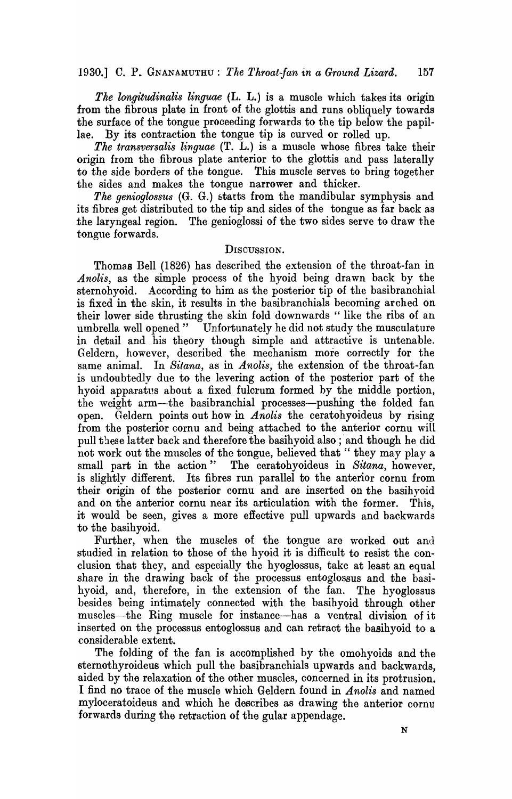*The longitudinalis linguae* (L. L.) is a muscle which takes its origin from the fibrous plate in front of the glottis and runs obliquely towards the surface of the tongue proceeding forwards to the tip below the papillae. By its contraction the tongue tip is curved or rolled up.

*The transversalis linguae* (T. L.) is a muscle whose fibres take their origin from the fibrous plate anterior to the glottis and pass laterally to the side borders of the tongue. This muscle serves to bring together the sides and makes the tongue narrower and thicker.

*The genioglossus* (G. G.) btarts from the mandibular symphysis and its fibres get distributed to the tip and sides of the tongue as far back as the laryngeal region. The genioglossi of the two sides serve to draw the tongue forwards.

### DISCUSSION.

Thomas Bell (1826) has described the extension of the throat-fan in *Anolis,* as the simple process of the hyoid being drawn back by the sternohyoid. According to him as the posterior tip of the basibranchial is fixed in the skin, it results in the basibranchials becoming arched on their lower side thrusting the skin fold downwards " like the ribs of an umbrella well opened" Unfortunately he did not study the musculature in detail and his theory though simple and attractive is untenable. Geldern, however, described the mechanism more correctly for the same animal. In *Sitana,* as in *Anolis,* the extension of the throat-fan is undoubtedly due to the levering action of the posterior part of the hyoid apparatus about a fixed fulcrum formed by the middle portion, the weight arm-the basibranchial processes-pushing the folded fan open. Geldern points out how in *Anolis* the ceratohyoideus by rising from the posterior cornu and being attached to the anterior cornu will pull these latter back and therefore the basihyoid also; 'and though he did not work out the muscles of the tongue, believed that "they may play a small part in the action" The ceratohyoideus in Sitana, however. The ceratohyoideus in *Sitana*, however, is slightly different. Its fibres run parallel to the anterior cornu from their origin of the posterior cornu and are inserted on the hasih yoid and on the anterior cornu near its articulation with the former. This, it would be seen, gives a more effective pull upwards and backwards to the basihyoid.

Further, when the muscles of the tongue are worked out and studied in relation to those of the hyoid it is difficult to resist the conclusion that they, and especially the hyoglossus, take at least an equal share in the drawing back of the processus entoglossus and the basihyoid, and, therefore, in the extension of the fan. The hyoglossus besides being intimately connected with the basihyoid through other muscles-the Ring muscle for instance-has a ventral division of it inserted on the processus entoglossus and can retract the basihyoid to a considerable extent.

The folding of the fan is accomplished by the omohyoids and the sternothyroideus which pull the basibranchials upwards and backwards, aided by the relaxation of the other muscles, concerned in its protrusion. I find no trace of the muscle which Geldern found in *Anolis* and named myloceratoideus and which he describes as drawing the anterior cornu forwards during the retraction of the gular appendage.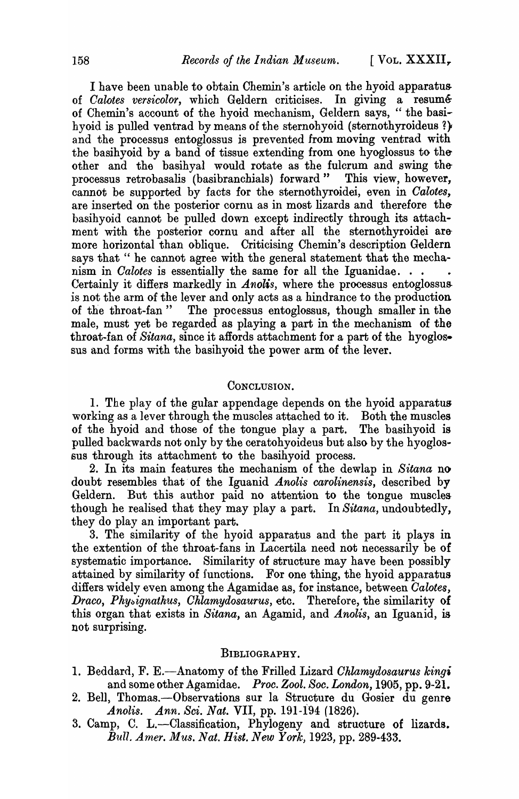I have been unable to obtain Chemin's article on the hyoid apparatus of *Calotes versicolor*, which Geldern criticises. In giving a resumé of Chemin's account of the hyoid mechanism, Geldern says, "the basihyoid is pulled ventrad by means of the sternohyoid (sternothyroideus ?) and the processus entoglossus is prevented from moving ventrad with the basihyoid by a band of tissue extending from one hyoglossus to theother and the basihyal would rotate as the fulcrum and swing theprocessus retrobasalis (basibranchials) forward" This view, however, cannot be supported by facts for the sternothyroidei, even in *Oalotes,*  are inserted on the posterior cornu as in most lizards and therefore thebasihyoid cannot be pulled down except indirectly through its attachment with the posterior cornu and after all the sternothyroidei aremore horizontal than oblique. Criticising Chemin's description Geldern says that " he cannot agree with the general statement that the mechanism in *Calotes* is essentially the same for all the Iguanidae. . . Certainly it differs markedly in *Anolis,* where the processus entoglossus is not the arm of the lever and only acts as a hindrance to the production of the throat-fan" The processus entoglossus, though smaller in the male, must yet be regarded as playing a part in the mechanism of the throat-fan of *Sitana*, since it affords attachment for a part of the hyoglossus and forms with the basihyoid the power arm of the lever.

## CONCLUSION.

1. The play of the gular appendage depends on the hyoid apparatus working as a lever through the muscles attached to it. Both the muscles of the hyoid and those of the tongue play a part. The basihyoid is pulled backwards not only by the ceratohyoideus but also by the hyoglossus through its attachment to the basihyoid process.

2. In its main features the mechanism of the dewlap in *Sitana* no doubt resembles that of the Iguanid *Anolis carolinensis*, described by Geldern. But this author paid no attention to the tongue muscles though he realised that they may playa part. In *Sitana,* undoubtedly, they do play an important part.

3. The similarity of the hyoid apparatus and the part it plays in the extention of the throat-fans in Lacertila need not necessarily be of systematic importance. Similarity of structure may have been possibly attained by similarity of functions. For one thing, the hyoid apparatus differs widely even among the Agamidae as, for instance, between *Oalotes, Draco, Physignathus, Chlamydosaurus, etc.* Therefore, the similarity of this organ that exists in *Sitana,* an Agamid, and *Anolis,* an Iguanid, is not surprising.

## BIBLIOGRAPHY.

- 1. Beddard, F. E.-Anatomy of the Frilled Lizard *Ohlamydosaurus kingi*  and some other Agamidae. *Proc. Zool. Soc. London*, 1905, pp. 9-21.
- 2. Bell, Thomas.--Observations sur la Structure du Gosier du genre *Anolis. Ann. Sci. Nat.* VII, pp. 191-194 (1826).
- 3. Camp, C. L.-Classification, Phylogeny and structure of lizards. *Bull. Amer. Mus. Nat. Hist. New York,* 1923, pp. 289-433.